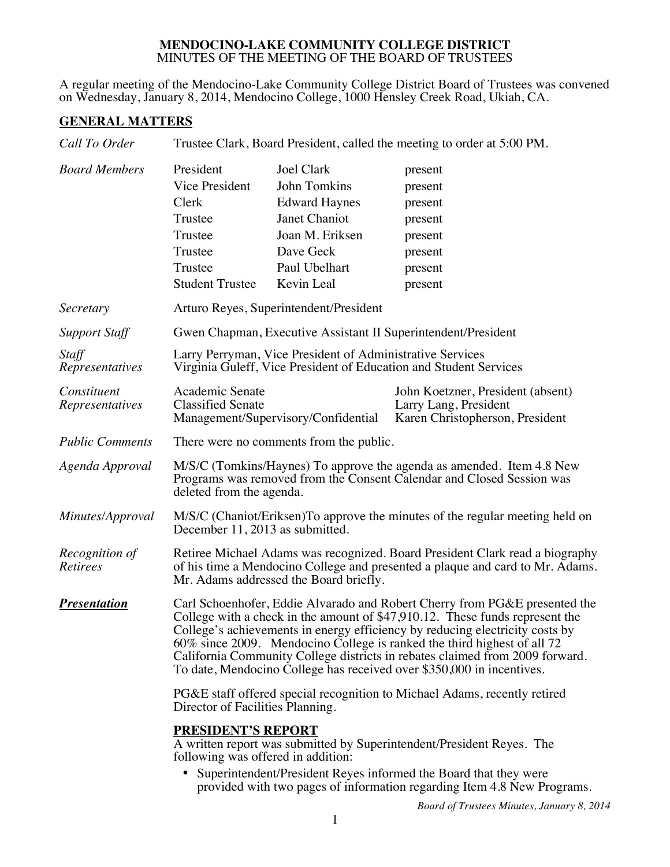## **MENDOCINO-LAKE COMMUNITY COLLEGE DISTRICT** MINUTES OF THE MEETING OF THE BOARD OF TRUSTEES

A regular meeting of the Mendocino-Lake Community College District Board of Trustees was convened on Wednesday, January 8, 2014, Mendocino College, 1000 Hensley Creek Road, Ukiah, CA.

## **GENERAL MATTERS**

| Call To Order                     | Trustee Clark, Board President, called the meeting to order at 5:00 PM.                                                                                                                                                                                                                                                                                                                                                                                                        |                                                                                                                                           |                                                                                               |  |  |
|-----------------------------------|--------------------------------------------------------------------------------------------------------------------------------------------------------------------------------------------------------------------------------------------------------------------------------------------------------------------------------------------------------------------------------------------------------------------------------------------------------------------------------|-------------------------------------------------------------------------------------------------------------------------------------------|-----------------------------------------------------------------------------------------------|--|--|
| <b>Board Members</b>              | President<br>Vice President<br>Clerk<br>Trustee<br>Trustee<br>Trustee<br>Trustee<br><b>Student Trustee</b>                                                                                                                                                                                                                                                                                                                                                                     | <b>Joel Clark</b><br>John Tomkins<br><b>Edward Haynes</b><br>Janet Chaniot<br>Joan M. Eriksen<br>Dave Geck<br>Paul Ubelhart<br>Kevin Leal | present<br>present<br>present<br>present<br>present<br>present<br>present<br>present          |  |  |
| Secretary                         |                                                                                                                                                                                                                                                                                                                                                                                                                                                                                | Arturo Reyes, Superintendent/President                                                                                                    |                                                                                               |  |  |
| <b>Support Staff</b>              | Gwen Chapman, Executive Assistant II Superintendent/President                                                                                                                                                                                                                                                                                                                                                                                                                  |                                                                                                                                           |                                                                                               |  |  |
| Staff<br>Representatives          | Larry Perryman, Vice President of Administrative Services<br>Virginia Guleff, Vice President of Education and Student Services                                                                                                                                                                                                                                                                                                                                                 |                                                                                                                                           |                                                                                               |  |  |
| Constituent<br>Representatives    | Academic Senate<br><b>Classified Senate</b><br>Management/Supervisory/Confidential                                                                                                                                                                                                                                                                                                                                                                                             |                                                                                                                                           | John Koetzner, President (absent)<br>Larry Lang, President<br>Karen Christopherson, President |  |  |
| <b>Public Comments</b>            | There were no comments from the public.                                                                                                                                                                                                                                                                                                                                                                                                                                        |                                                                                                                                           |                                                                                               |  |  |
| Agenda Approval                   | M/S/C (Tomkins/Haynes) To approve the agenda as amended. Item 4.8 New<br>Programs was removed from the Consent Calendar and Closed Session was<br>deleted from the agenda.                                                                                                                                                                                                                                                                                                     |                                                                                                                                           |                                                                                               |  |  |
| Minutes/Approval                  | M/S/C (Chaniot/Eriksen) To approve the minutes of the regular meeting held on<br>December 11, 2013 as submitted.                                                                                                                                                                                                                                                                                                                                                               |                                                                                                                                           |                                                                                               |  |  |
| Recognition of<br><b>Retirees</b> | Retiree Michael Adams was recognized. Board President Clark read a biography<br>of his time a Mendocino College and presented a plaque and card to Mr. Adams.<br>Mr. Adams addressed the Board briefly.                                                                                                                                                                                                                                                                        |                                                                                                                                           |                                                                                               |  |  |
| <b>Presentation</b>               | Carl Schoenhofer, Eddie Alvarado and Robert Cherry from PG&E presented the<br>College with a check in the amount of \$47,910.12. These funds represent the<br>College's achievements in energy efficiency by reducing electricity costs by<br>60% since 2009. Mendocino College is ranked the third highest of all 72<br>California Community College districts in rebates claimed from 2009 forward.<br>To date, Mendocino College has received over \$350,000 in incentives. |                                                                                                                                           |                                                                                               |  |  |
|                                   | PG&E staff offered special recognition to Michael Adams, recently retired<br>Director of Facilities Planning.                                                                                                                                                                                                                                                                                                                                                                  |                                                                                                                                           |                                                                                               |  |  |
|                                   | <b>PRESIDENT'S REPORT</b><br>A written report was submitted by Superintendent/President Reyes. The<br>following was offered in addition:<br>• Superintendent/President Reyes informed the Board that they were<br>provided with two pages of information regarding Item 4.8 New Programs.                                                                                                                                                                                      |                                                                                                                                           |                                                                                               |  |  |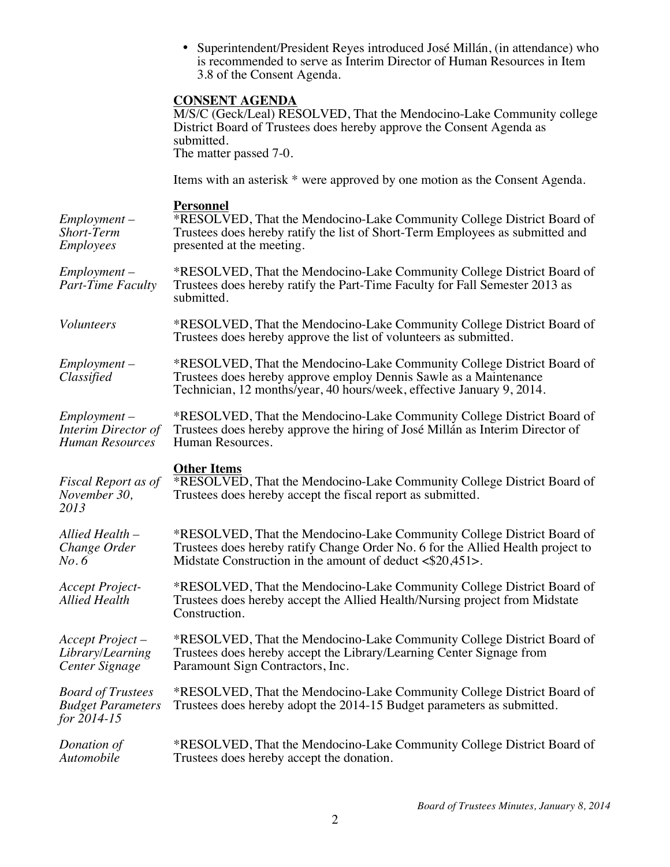• Superintendent/President Reyes introduced José Millán, (in attendance) who is recommended to serve as Interim Director of Human Resources in Item 3.8 of the Consent Agenda.

## **CONSENT AGENDA**

|                                                                     | M/S/C (Geck/Leal) RESOLVED, That the Mendocino-Lake Community college<br>District Board of Trustees does hereby approve the Consent Agenda as<br>submitted.<br>The matter passed 7-0.                                                  |  |  |
|---------------------------------------------------------------------|----------------------------------------------------------------------------------------------------------------------------------------------------------------------------------------------------------------------------------------|--|--|
|                                                                     | Items with an asterisk * were approved by one motion as the Consent Agenda.                                                                                                                                                            |  |  |
| Employment-<br>Short-Term<br>Employees                              | <b>Personnel</b><br>*RESOLVED, That the Mendocino-Lake Community College District Board of<br>Trustees does hereby ratify the list of Short-Term Employees as submitted and<br>presented at the meeting.                               |  |  |
| Employment –<br>Part-Time Faculty                                   | *RESOLVED, That the Mendocino-Lake Community College District Board of<br>Trustees does hereby ratify the Part-Time Faculty for Fall Semester 2013 as<br>submitted.                                                                    |  |  |
| <b>Volunteers</b>                                                   | *RESOLVED, That the Mendocino-Lake Community College District Board of<br>Trustees does hereby approve the list of volunteers as submitted.                                                                                            |  |  |
| $Employment -$<br>Classified                                        | *RESOLVED, That the Mendocino-Lake Community College District Board of<br>Trustees does hereby approve employ Dennis Sawle as a Maintenance<br>Technician, 12 months/year, 40 hours/week, effective January 9, 2014.                   |  |  |
| Employment-<br><b>Interim Director of</b><br>Human Resources        | *RESOLVED, That the Mendocino-Lake Community College District Board of<br>Trustees does hereby approve the hiring of José Millán as Interim Director of<br>Human Resources.                                                            |  |  |
| Fiscal Report as of<br>November 30,<br>2013                         | <b>Other Items</b><br>*RESOLVED, That the Mendocino-Lake Community College District Board of<br>Trustees does hereby accept the fiscal report as submitted.                                                                            |  |  |
| Allied Health –<br>Change Order<br>No.6                             | *RESOLVED, That the Mendocino-Lake Community College District Board of<br>Trustees does hereby ratify Change Order No. 6 for the Allied Health project to<br>Midstate Construction in the amount of deduct $\langle $20,451 \rangle$ . |  |  |
| Accept Project-<br>Allied Health                                    | *RESOLVED, That the Mendocino-Lake Community College District Board of<br>Trustees does hereby accept the Allied Health/Nursing project from Midstate<br>Construction.                                                                 |  |  |
| Accept Project –<br>Library/Learning<br>Center Signage              | *RESOLVED, That the Mendocino-Lake Community College District Board of<br>Trustees does hereby accept the Library/Learning Center Signage from<br>Paramount Sign Contractors, Inc.                                                     |  |  |
| <b>Board of Trustees</b><br><b>Budget Parameters</b><br>for 2014-15 | *RESOLVED, That the Mendocino-Lake Community College District Board of<br>Trustees does hereby adopt the 2014-15 Budget parameters as submitted.                                                                                       |  |  |
| Donation of<br>Automobile                                           | *RESOLVED, That the Mendocino-Lake Community College District Board of<br>Trustees does hereby accept the donation.                                                                                                                    |  |  |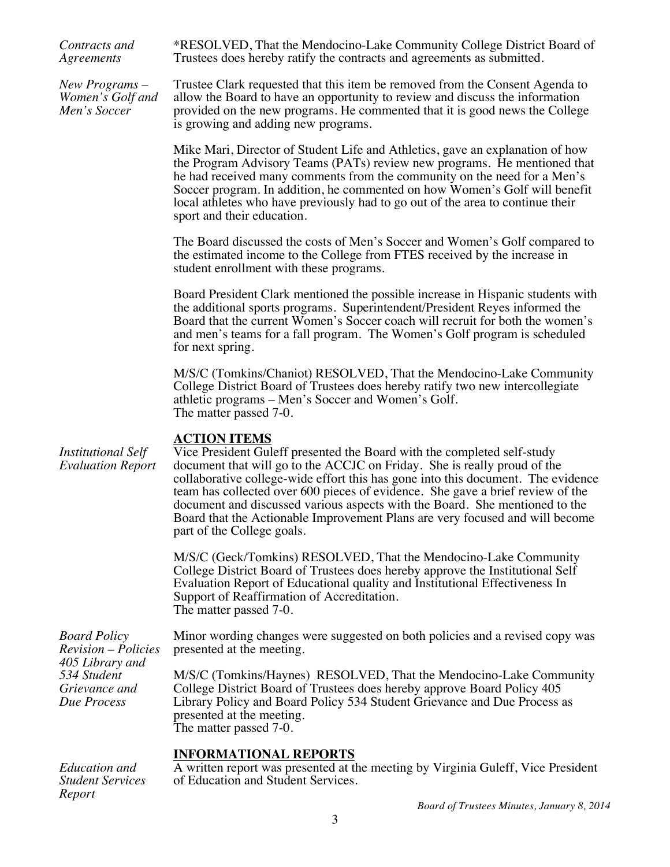| Contracts and<br>Agreements                                                                                         | *RESOLVED, That the Mendocino-Lake Community College District Board of<br>Trustees does hereby ratify the contracts and agreements as submitted.                                                                                                                                                                                                                                                                                                                                                                                              |  |  |
|---------------------------------------------------------------------------------------------------------------------|-----------------------------------------------------------------------------------------------------------------------------------------------------------------------------------------------------------------------------------------------------------------------------------------------------------------------------------------------------------------------------------------------------------------------------------------------------------------------------------------------------------------------------------------------|--|--|
| New Programs –<br>Women's Golf and<br>Men's Soccer                                                                  | Trustee Clark requested that this item be removed from the Consent Agenda to<br>allow the Board to have an opportunity to review and discuss the information<br>provided on the new programs. He commented that it is good news the College<br>is growing and adding new programs.                                                                                                                                                                                                                                                            |  |  |
|                                                                                                                     | Mike Mari, Director of Student Life and Athletics, gave an explanation of how<br>the Program Advisory Teams (PATs) review new programs. He mentioned that<br>he had received many comments from the community on the need for a Men's<br>Soccer program. In addition, he commented on how Women's Golf will benefit<br>local athletes who have previously had to go out of the area to continue their<br>sport and their education.                                                                                                           |  |  |
|                                                                                                                     | The Board discussed the costs of Men's Soccer and Women's Golf compared to<br>the estimated income to the College from FTES received by the increase in<br>student enrollment with these programs.                                                                                                                                                                                                                                                                                                                                            |  |  |
|                                                                                                                     | Board President Clark mentioned the possible increase in Hispanic students with<br>the additional sports programs. Superintendent/President Reyes informed the<br>Board that the current Women's Soccer coach will recruit for both the women's<br>and men's teams for a fall program. The Women's Golf program is scheduled<br>for next spring.                                                                                                                                                                                              |  |  |
|                                                                                                                     | M/S/C (Tomkins/Chaniot) RESOLVED, That the Mendocino-Lake Community<br>College District Board of Trustees does hereby ratify two new intercollegiate<br>athletic programs – Men's Soccer and Women's Golf.<br>The matter passed 7-0.                                                                                                                                                                                                                                                                                                          |  |  |
| <b>Institutional Self</b><br><b>Evaluation Report</b>                                                               | <b>ACTION ITEMS</b><br>Vice President Guleff presented the Board with the completed self-study<br>document that will go to the ACCJC on Friday. She is really proud of the<br>collaborative college-wide effort this has gone into this document. The evidence<br>team has collected over 600 pieces of evidence. She gave a brief review of the<br>document and discussed various aspects with the Board. She mentioned to the<br>Board that the Actionable Improvement Plans are very focused and will become<br>part of the College goals. |  |  |
|                                                                                                                     | M/S/C (Geck/Tomkins) RESOLVED, That the Mendocino-Lake Community<br>College District Board of Trustees does hereby approve the Institutional Self<br>Evaluation Report of Educational quality and Institutional Effectiveness In<br>Support of Reaffirmation of Accreditation.<br>The matter passed 7-0.                                                                                                                                                                                                                                      |  |  |
| <b>Board Policy</b><br><b>Revision</b> – Policies<br>405 Library and<br>534 Student<br>Grievance and<br>Due Process | Minor wording changes were suggested on both policies and a revised copy was<br>presented at the meeting.                                                                                                                                                                                                                                                                                                                                                                                                                                     |  |  |
|                                                                                                                     | M/S/C (Tomkins/Haynes) RESOLVED, That the Mendocino-Lake Community<br>College District Board of Trustees does hereby approve Board Policy 405<br>Library Policy and Board Policy 534 Student Grievance and Due Process as<br>presented at the meeting.<br>The matter passed 7-0.                                                                                                                                                                                                                                                              |  |  |
| <b>Education</b> and<br><b>Student Services</b><br>Report                                                           | <b>INFORMATIONAL REPORTS</b><br>A written report was presented at the meeting by Virginia Guleff, Vice President<br>of Education and Student Services.                                                                                                                                                                                                                                                                                                                                                                                        |  |  |
|                                                                                                                     |                                                                                                                                                                                                                                                                                                                                                                                                                                                                                                                                               |  |  |